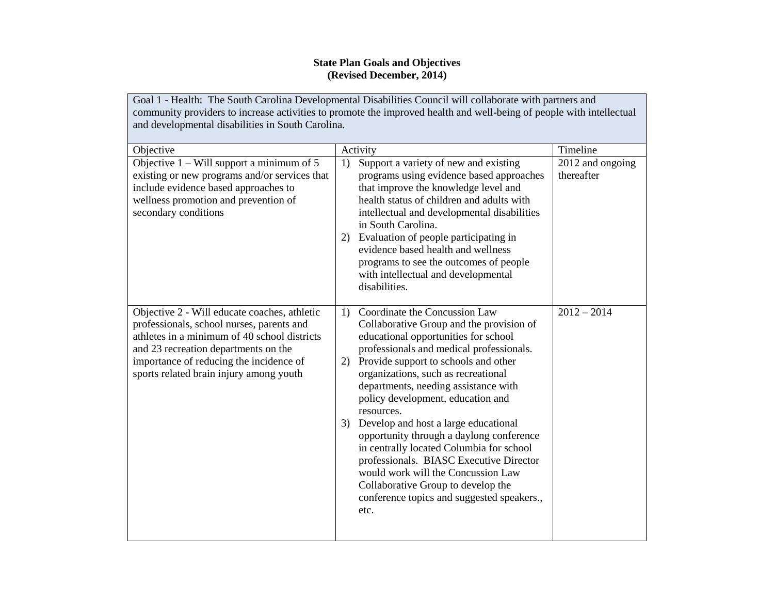## **State Plan Goals and Objectives (Revised December, 2014)**

Goal 1 - Health: The South Carolina Developmental Disabilities Council will collaborate with partners and community providers to increase activities to promote the improved health and well-being of people with intellectual and developmental disabilities in South Carolina.

| Objective                                                                                                                                                                                                                                                               | Activity                                                                                                                                                                                                                                                                                                                                                                                                                                                                                                                                                                                                                                                         | Timeline                       |
|-------------------------------------------------------------------------------------------------------------------------------------------------------------------------------------------------------------------------------------------------------------------------|------------------------------------------------------------------------------------------------------------------------------------------------------------------------------------------------------------------------------------------------------------------------------------------------------------------------------------------------------------------------------------------------------------------------------------------------------------------------------------------------------------------------------------------------------------------------------------------------------------------------------------------------------------------|--------------------------------|
| Objective $1 - Will$ support a minimum of 5<br>existing or new programs and/or services that<br>include evidence based approaches to<br>wellness promotion and prevention of<br>secondary conditions                                                                    | Support a variety of new and existing<br>1)<br>programs using evidence based approaches<br>that improve the knowledge level and<br>health status of children and adults with<br>intellectual and developmental disabilities<br>in South Carolina.<br>2) Evaluation of people participating in<br>evidence based health and wellness<br>programs to see the outcomes of people<br>with intellectual and developmental<br>disabilities.                                                                                                                                                                                                                            | 2012 and ongoing<br>thereafter |
| Objective 2 - Will educate coaches, athletic<br>professionals, school nurses, parents and<br>athletes in a minimum of 40 school districts<br>and 23 recreation departments on the<br>importance of reducing the incidence of<br>sports related brain injury among youth | Coordinate the Concussion Law<br>1)<br>Collaborative Group and the provision of<br>educational opportunities for school<br>professionals and medical professionals.<br>2) Provide support to schools and other<br>organizations, such as recreational<br>departments, needing assistance with<br>policy development, education and<br>resources.<br>3) Develop and host a large educational<br>opportunity through a daylong conference<br>in centrally located Columbia for school<br>professionals. BIASC Executive Director<br>would work will the Concussion Law<br>Collaborative Group to develop the<br>conference topics and suggested speakers.,<br>etc. | $2012 - 2014$                  |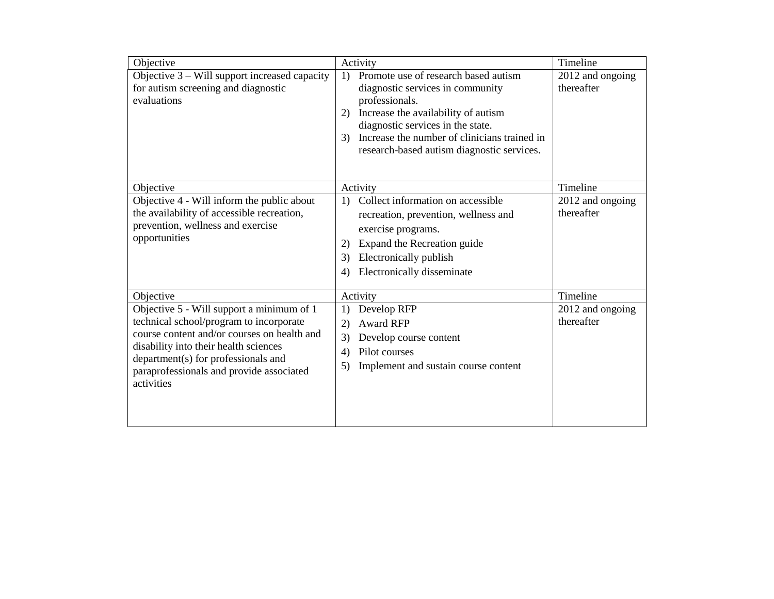| Objective                                                                                                                                                                                                                                                                     | Activity                                                                                                                                                                                                                                                                                                         | Timeline                       |
|-------------------------------------------------------------------------------------------------------------------------------------------------------------------------------------------------------------------------------------------------------------------------------|------------------------------------------------------------------------------------------------------------------------------------------------------------------------------------------------------------------------------------------------------------------------------------------------------------------|--------------------------------|
| Objective 3 – Will support increased capacity<br>for autism screening and diagnostic<br>evaluations                                                                                                                                                                           | Promote use of research based autism<br>$\left( \frac{1}{2} \right)$<br>diagnostic services in community<br>professionals.<br>Increase the availability of autism<br>2)<br>diagnostic services in the state.<br>Increase the number of clinicians trained in<br>3)<br>research-based autism diagnostic services. | 2012 and ongoing<br>thereafter |
| Objective                                                                                                                                                                                                                                                                     | Activity                                                                                                                                                                                                                                                                                                         | Timeline                       |
| Objective 4 - Will inform the public about<br>the availability of accessible recreation,<br>prevention, wellness and exercise<br>opportunities                                                                                                                                | Collect information on accessible<br>1)<br>recreation, prevention, wellness and<br>exercise programs.<br>Expand the Recreation guide<br>(2)<br>Electronically publish<br>3)<br>Electronically disseminate<br>4)                                                                                                  | 2012 and ongoing<br>thereafter |
| Objective                                                                                                                                                                                                                                                                     | Activity                                                                                                                                                                                                                                                                                                         | Timeline                       |
| Objective 5 - Will support a minimum of 1<br>technical school/program to incorporate<br>course content and/or courses on health and<br>disability into their health sciences<br>department(s) for professionals and<br>paraprofessionals and provide associated<br>activities | Develop RFP<br>1)<br><b>Award RFP</b><br>(2)<br>Develop course content<br>3)<br>Pilot courses<br>4)<br>Implement and sustain course content<br>5)                                                                                                                                                                | 2012 and ongoing<br>thereafter |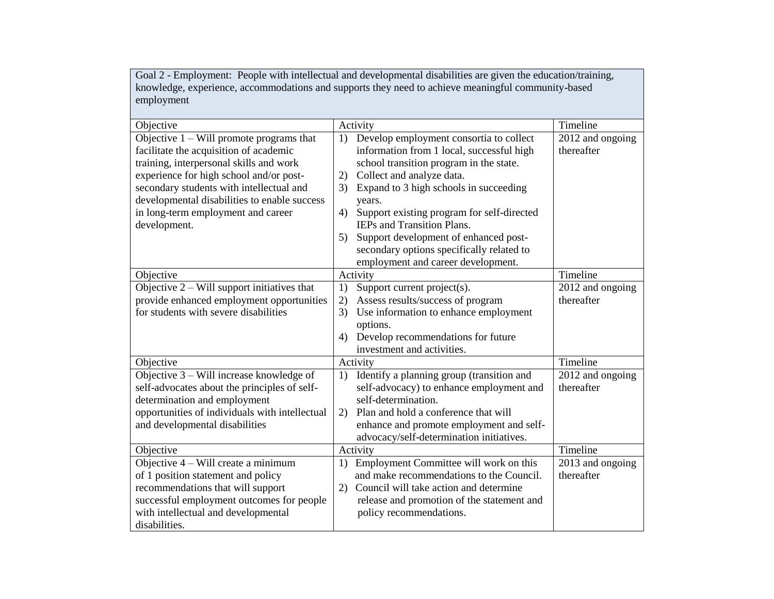Goal 2 - Employment: People with intellectual and developmental disabilities are given the education/training, knowledge, experience, accommodations and supports they need to achieve meaningful community-based employment

|                                         | Timeline                                                                                                                                                                                                                                                                                                                                                                                                                                                                                                                                                                                                                                                                                                                                                                                                                                                                                                                                                                                                                                 |
|-----------------------------------------|------------------------------------------------------------------------------------------------------------------------------------------------------------------------------------------------------------------------------------------------------------------------------------------------------------------------------------------------------------------------------------------------------------------------------------------------------------------------------------------------------------------------------------------------------------------------------------------------------------------------------------------------------------------------------------------------------------------------------------------------------------------------------------------------------------------------------------------------------------------------------------------------------------------------------------------------------------------------------------------------------------------------------------------|
|                                         |                                                                                                                                                                                                                                                                                                                                                                                                                                                                                                                                                                                                                                                                                                                                                                                                                                                                                                                                                                                                                                          |
|                                         | 2012 and ongoing                                                                                                                                                                                                                                                                                                                                                                                                                                                                                                                                                                                                                                                                                                                                                                                                                                                                                                                                                                                                                         |
|                                         | thereafter                                                                                                                                                                                                                                                                                                                                                                                                                                                                                                                                                                                                                                                                                                                                                                                                                                                                                                                                                                                                                               |
|                                         |                                                                                                                                                                                                                                                                                                                                                                                                                                                                                                                                                                                                                                                                                                                                                                                                                                                                                                                                                                                                                                          |
|                                         |                                                                                                                                                                                                                                                                                                                                                                                                                                                                                                                                                                                                                                                                                                                                                                                                                                                                                                                                                                                                                                          |
|                                         |                                                                                                                                                                                                                                                                                                                                                                                                                                                                                                                                                                                                                                                                                                                                                                                                                                                                                                                                                                                                                                          |
|                                         |                                                                                                                                                                                                                                                                                                                                                                                                                                                                                                                                                                                                                                                                                                                                                                                                                                                                                                                                                                                                                                          |
|                                         |                                                                                                                                                                                                                                                                                                                                                                                                                                                                                                                                                                                                                                                                                                                                                                                                                                                                                                                                                                                                                                          |
|                                         |                                                                                                                                                                                                                                                                                                                                                                                                                                                                                                                                                                                                                                                                                                                                                                                                                                                                                                                                                                                                                                          |
| 5)                                      |                                                                                                                                                                                                                                                                                                                                                                                                                                                                                                                                                                                                                                                                                                                                                                                                                                                                                                                                                                                                                                          |
|                                         |                                                                                                                                                                                                                                                                                                                                                                                                                                                                                                                                                                                                                                                                                                                                                                                                                                                                                                                                                                                                                                          |
| employment and career development.      |                                                                                                                                                                                                                                                                                                                                                                                                                                                                                                                                                                                                                                                                                                                                                                                                                                                                                                                                                                                                                                          |
| Activity                                | Timeline                                                                                                                                                                                                                                                                                                                                                                                                                                                                                                                                                                                                                                                                                                                                                                                                                                                                                                                                                                                                                                 |
| Support current project(s).<br>1)       | 2012 and ongoing                                                                                                                                                                                                                                                                                                                                                                                                                                                                                                                                                                                                                                                                                                                                                                                                                                                                                                                                                                                                                         |
| Assess results/success of program<br>2) | thereafter                                                                                                                                                                                                                                                                                                                                                                                                                                                                                                                                                                                                                                                                                                                                                                                                                                                                                                                                                                                                                               |
| 3)                                      |                                                                                                                                                                                                                                                                                                                                                                                                                                                                                                                                                                                                                                                                                                                                                                                                                                                                                                                                                                                                                                          |
|                                         |                                                                                                                                                                                                                                                                                                                                                                                                                                                                                                                                                                                                                                                                                                                                                                                                                                                                                                                                                                                                                                          |
| 4)                                      |                                                                                                                                                                                                                                                                                                                                                                                                                                                                                                                                                                                                                                                                                                                                                                                                                                                                                                                                                                                                                                          |
|                                         |                                                                                                                                                                                                                                                                                                                                                                                                                                                                                                                                                                                                                                                                                                                                                                                                                                                                                                                                                                                                                                          |
|                                         | Timeline                                                                                                                                                                                                                                                                                                                                                                                                                                                                                                                                                                                                                                                                                                                                                                                                                                                                                                                                                                                                                                 |
|                                         | 2012 and ongoing                                                                                                                                                                                                                                                                                                                                                                                                                                                                                                                                                                                                                                                                                                                                                                                                                                                                                                                                                                                                                         |
|                                         | thereafter                                                                                                                                                                                                                                                                                                                                                                                                                                                                                                                                                                                                                                                                                                                                                                                                                                                                                                                                                                                                                               |
| self-determination.                     |                                                                                                                                                                                                                                                                                                                                                                                                                                                                                                                                                                                                                                                                                                                                                                                                                                                                                                                                                                                                                                          |
|                                         |                                                                                                                                                                                                                                                                                                                                                                                                                                                                                                                                                                                                                                                                                                                                                                                                                                                                                                                                                                                                                                          |
|                                         |                                                                                                                                                                                                                                                                                                                                                                                                                                                                                                                                                                                                                                                                                                                                                                                                                                                                                                                                                                                                                                          |
|                                         |                                                                                                                                                                                                                                                                                                                                                                                                                                                                                                                                                                                                                                                                                                                                                                                                                                                                                                                                                                                                                                          |
|                                         | Timeline                                                                                                                                                                                                                                                                                                                                                                                                                                                                                                                                                                                                                                                                                                                                                                                                                                                                                                                                                                                                                                 |
|                                         | 2013 and ongoing                                                                                                                                                                                                                                                                                                                                                                                                                                                                                                                                                                                                                                                                                                                                                                                                                                                                                                                                                                                                                         |
|                                         | thereafter                                                                                                                                                                                                                                                                                                                                                                                                                                                                                                                                                                                                                                                                                                                                                                                                                                                                                                                                                                                                                               |
|                                         |                                                                                                                                                                                                                                                                                                                                                                                                                                                                                                                                                                                                                                                                                                                                                                                                                                                                                                                                                                                                                                          |
|                                         |                                                                                                                                                                                                                                                                                                                                                                                                                                                                                                                                                                                                                                                                                                                                                                                                                                                                                                                                                                                                                                          |
|                                         |                                                                                                                                                                                                                                                                                                                                                                                                                                                                                                                                                                                                                                                                                                                                                                                                                                                                                                                                                                                                                                          |
|                                         |                                                                                                                                                                                                                                                                                                                                                                                                                                                                                                                                                                                                                                                                                                                                                                                                                                                                                                                                                                                                                                          |
|                                         | Activity<br>Develop employment consortia to collect<br>1)<br>information from 1 local, successful high<br>school transition program in the state.<br>Collect and analyze data.<br>2)<br>Expand to 3 high schools in succeeding<br>3)<br>years.<br>Support existing program for self-directed<br>4)<br><b>IEPs and Transition Plans.</b><br>Support development of enhanced post-<br>secondary options specifically related to<br>Use information to enhance employment<br>options.<br>Develop recommendations for future<br>investment and activities.<br>Activity<br>Identify a planning group (transition and<br>1)<br>self-advocacy) to enhance employment and<br>Plan and hold a conference that will<br>2)<br>enhance and promote employment and self-<br>advocacy/self-determination initiatives.<br>Activity<br>Employment Committee will work on this<br>1)<br>and make recommendations to the Council.<br>Council will take action and determine<br>2)<br>release and promotion of the statement and<br>policy recommendations. |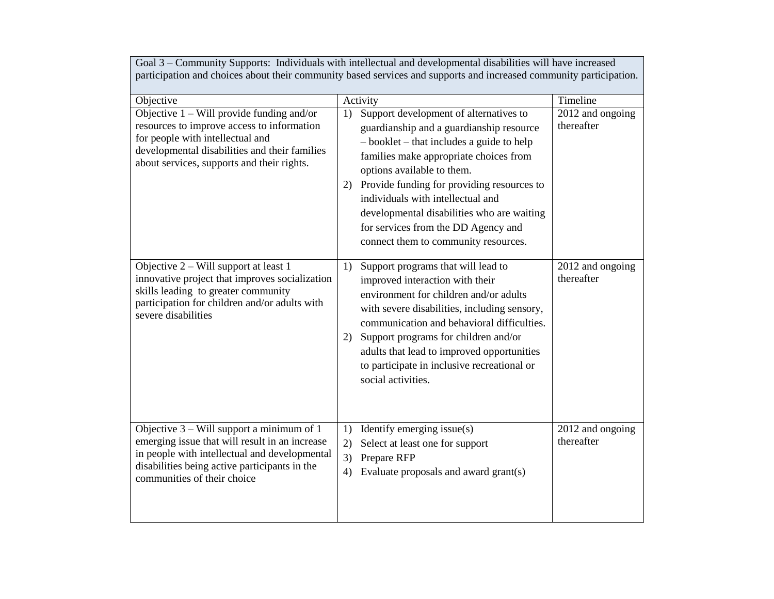| Goal 3 – Community Supports: Individuals with intellectual and developmental disabilities will have increased<br>participation and choices about their community based services and supports and increased community participation. |                                                                                                                                                                                                                                                                                                                                                                                                                                      |                                |  |
|-------------------------------------------------------------------------------------------------------------------------------------------------------------------------------------------------------------------------------------|--------------------------------------------------------------------------------------------------------------------------------------------------------------------------------------------------------------------------------------------------------------------------------------------------------------------------------------------------------------------------------------------------------------------------------------|--------------------------------|--|
| Objective                                                                                                                                                                                                                           | Activity                                                                                                                                                                                                                                                                                                                                                                                                                             | Timeline                       |  |
| Objective $1 - Will$ provide funding and/or<br>resources to improve access to information<br>for people with intellectual and<br>developmental disabilities and their families<br>about services, supports and their rights.        | Support development of alternatives to<br>1)<br>guardianship and a guardianship resource<br>$-$ booklet $-$ that includes a guide to help<br>families make appropriate choices from<br>options available to them.<br>2) Provide funding for providing resources to<br>individuals with intellectual and<br>developmental disabilities who are waiting<br>for services from the DD Agency and<br>connect them to community resources. | 2012 and ongoing<br>thereafter |  |
| Objective $2 - Will$ support at least 1<br>innovative project that improves socialization<br>skills leading to greater community<br>participation for children and/or adults with<br>severe disabilities                            | Support programs that will lead to<br>1)<br>improved interaction with their<br>environment for children and/or adults<br>with severe disabilities, including sensory,<br>communication and behavioral difficulties.<br>Support programs for children and/or<br>2)<br>adults that lead to improved opportunities<br>to participate in inclusive recreational or<br>social activities.                                                 | 2012 and ongoing<br>thereafter |  |
| Objective $3 -$ Will support a minimum of 1<br>emerging issue that will result in an increase<br>in people with intellectual and developmental<br>disabilities being active participants in the<br>communities of their choice      | Identify emerging issue(s)<br>1)<br>Select at least one for support<br>2)<br>3)<br>Prepare RFP<br>Evaluate proposals and award grant(s)<br>4)                                                                                                                                                                                                                                                                                        | 2012 and ongoing<br>thereafter |  |